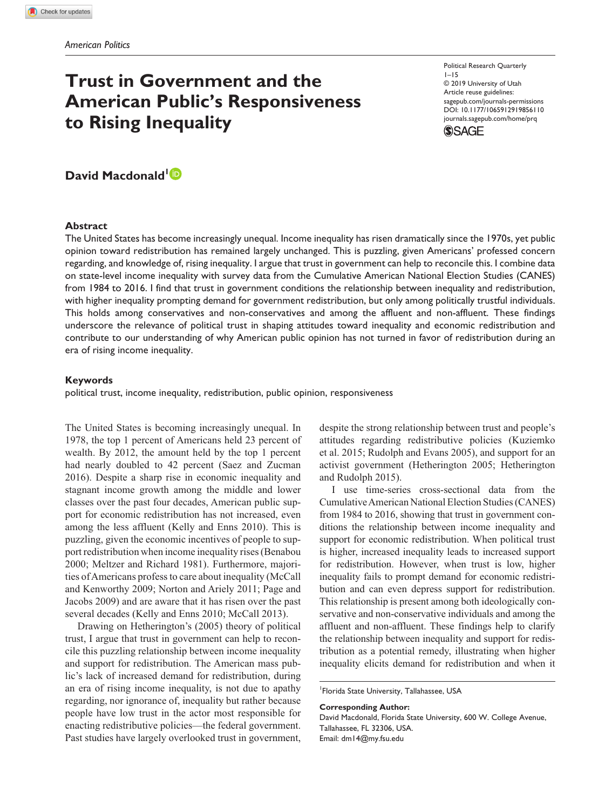# **Trust in Government and the American Public's Responsiveness to Rising Inequality**

Political Research Quarterly 1–15 © 2019 University of Utah Article reuse guidelines: [sagepub.com/journals-permissions](https://us.sagepub.com/en-us/journals-permissions) https://doi.org/10.1177/1065912919856110 DOI: 10.1177/1065912919856110 [journals.sagepub.com/home/prq](https://journals.sagepub.com/home/prq) **SSAGE** 

David Macdonald<sup>1</sup><sup>D</sup>

### **Abstract**

The United States has become increasingly unequal. Income inequality has risen dramatically since the 1970s, yet public opinion toward redistribution has remained largely unchanged. This is puzzling, given Americans' professed concern regarding, and knowledge of, rising inequality. I argue that trust in government can help to reconcile this. I combine data on state-level income inequality with survey data from the Cumulative American National Election Studies (CANES) from 1984 to 2016. I find that trust in government conditions the relationship between inequality and redistribution, with higher inequality prompting demand for government redistribution, but only among politically trustful individuals. This holds among conservatives and non-conservatives and among the affluent and non-affluent. These findings underscore the relevance of political trust in shaping attitudes toward inequality and economic redistribution and contribute to our understanding of why American public opinion has not turned in favor of redistribution during an era of rising income inequality.

#### **Keywords**

political trust, income inequality, redistribution, public opinion, responsiveness

The United States is becoming increasingly unequal. In 1978, the top 1 percent of Americans held 23 percent of wealth. By 2012, the amount held by the top 1 percent had nearly doubled to 42 percent (Saez and Zucman 2016). Despite a sharp rise in economic inequality and stagnant income growth among the middle and lower classes over the past four decades, American public support for economic redistribution has not increased, even among the less affluent (Kelly and Enns 2010). This is puzzling, given the economic incentives of people to support redistribution when income inequality rises (Benabou 2000; Meltzer and Richard 1981). Furthermore, majorities of Americans profess to care about inequality (McCall and Kenworthy 2009; Norton and Ariely 2011; Page and Jacobs 2009) and are aware that it has risen over the past several decades (Kelly and Enns 2010; McCall 2013).

Drawing on Hetherington's (2005) theory of political trust, I argue that trust in government can help to reconcile this puzzling relationship between income inequality and support for redistribution. The American mass public's lack of increased demand for redistribution, during an era of rising income inequality, is not due to apathy regarding, nor ignorance of, inequality but rather because people have low trust in the actor most responsible for enacting redistributive policies—the federal government. Past studies have largely overlooked trust in government, despite the strong relationship between trust and people's attitudes regarding redistributive policies (Kuziemko et al. 2015; Rudolph and Evans 2005), and support for an activist government (Hetherington 2005; Hetherington and Rudolph 2015).

I use time-series cross-sectional data from the Cumulative American National Election Studies (CANES) from 1984 to 2016, showing that trust in government conditions the relationship between income inequality and support for economic redistribution. When political trust is higher, increased inequality leads to increased support for redistribution. However, when trust is low, higher inequality fails to prompt demand for economic redistribution and can even depress support for redistribution. This relationship is present among both ideologically conservative and non-conservative individuals and among the affluent and non-affluent. These findings help to clarify the relationship between inequality and support for redistribution as a potential remedy, illustrating when higher inequality elicits demand for redistribution and when it

1 Florida State University, Tallahassee, USA

**Corresponding Author:**

David Macdonald, Florida State University, 600 W. College Avenue, Tallahassee, FL 32306, USA. Email: [dm14@my.fsu.edu](mailto:dm14@my.fsu.edu)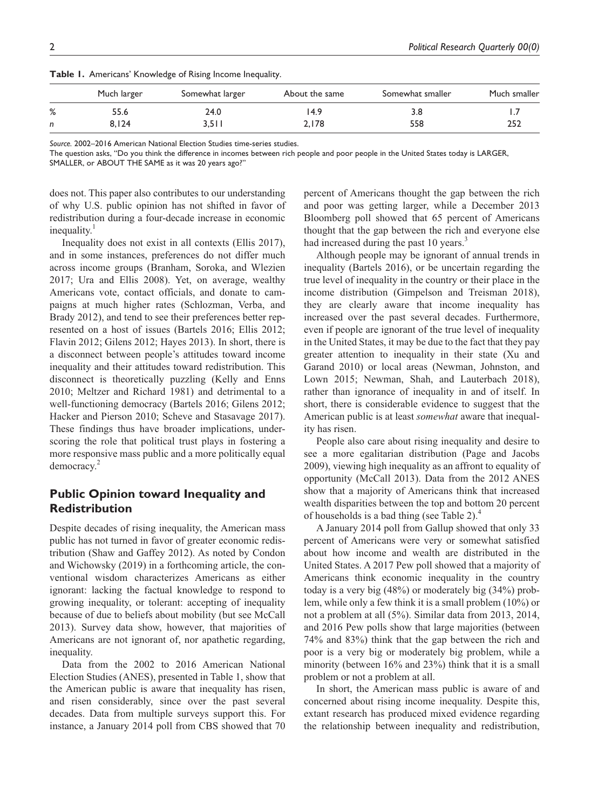|   | Much larger | Somewhat larger | About the same | Somewhat smaller | Much smaller |
|---|-------------|-----------------|----------------|------------------|--------------|
| % | 55.6        | 24.0            | 14.9           | 3.8              |              |
| n | 8.124       | 3,51            | 2,178          | 558              | 252          |

**Table 1.** Americans' Knowledge of Rising Income Inequality.

*Source.* 2002–2016 American National Election Studies time-series studies.

The question asks, "Do you think the difference in incomes between rich people and poor people in the United States today is LARGER,

SMALLER, or ABOUT THE SAME as it was 20 years ago?"

does not. This paper also contributes to our understanding of why U.S. public opinion has not shifted in favor of redistribution during a four-decade increase in economic inequality.<sup>1</sup>

Inequality does not exist in all contexts (Ellis 2017), and in some instances, preferences do not differ much across income groups (Branham, Soroka, and Wlezien 2017; Ura and Ellis 2008). Yet, on average, wealthy Americans vote, contact officials, and donate to campaigns at much higher rates (Schlozman, Verba, and Brady 2012), and tend to see their preferences better represented on a host of issues (Bartels 2016; Ellis 2012; Flavin 2012; Gilens 2012; Hayes 2013). In short, there is a disconnect between people's attitudes toward income inequality and their attitudes toward redistribution. This disconnect is theoretically puzzling (Kelly and Enns 2010; Meltzer and Richard 1981) and detrimental to a well-functioning democracy (Bartels 2016; Gilens 2012; Hacker and Pierson 2010; Scheve and Stasavage 2017). These findings thus have broader implications, underscoring the role that political trust plays in fostering a more responsive mass public and a more politically equal democracy.<sup>2</sup>

# **Public Opinion toward Inequality and Redistribution**

Despite decades of rising inequality, the American mass public has not turned in favor of greater economic redistribution (Shaw and Gaffey 2012). As noted by Condon and Wichowsky (2019) in a forthcoming article, the conventional wisdom characterizes Americans as either ignorant: lacking the factual knowledge to respond to growing inequality, or tolerant: accepting of inequality because of due to beliefs about mobility (but see McCall 2013). Survey data show, however, that majorities of Americans are not ignorant of, nor apathetic regarding, inequality.

Data from the 2002 to 2016 American National Election Studies (ANES), presented in Table 1, show that the American public is aware that inequality has risen, and risen considerably, since over the past several decades. Data from multiple surveys support this. For instance, a January 2014 poll from CBS showed that 70 percent of Americans thought the gap between the rich and poor was getting larger, while a December 2013 Bloomberg poll showed that 65 percent of Americans thought that the gap between the rich and everyone else had increased during the past 10 years.<sup>3</sup>

Although people may be ignorant of annual trends in inequality (Bartels 2016), or be uncertain regarding the true level of inequality in the country or their place in the income distribution (Gimpelson and Treisman 2018), they are clearly aware that income inequality has increased over the past several decades. Furthermore, even if people are ignorant of the true level of inequality in the United States, it may be due to the fact that they pay greater attention to inequality in their state (Xu and Garand 2010) or local areas (Newman, Johnston, and Lown 2015; Newman, Shah, and Lauterbach 2018), rather than ignorance of inequality in and of itself. In short, there is considerable evidence to suggest that the American public is at least *somewhat* aware that inequality has risen.

People also care about rising inequality and desire to see a more egalitarian distribution (Page and Jacobs 2009), viewing high inequality as an affront to equality of opportunity (McCall 2013). Data from the 2012 ANES show that a majority of Americans think that increased wealth disparities between the top and bottom 20 percent of households is a bad thing (see Table 2).4

A January 2014 poll from Gallup showed that only 33 percent of Americans were very or somewhat satisfied about how income and wealth are distributed in the United States. A 2017 Pew poll showed that a majority of Americans think economic inequality in the country today is a very big (48%) or moderately big (34%) problem, while only a few think it is a small problem (10%) or not a problem at all (5%). Similar data from 2013, 2014, and 2016 Pew polls show that large majorities (between 74% and 83%) think that the gap between the rich and poor is a very big or moderately big problem, while a minority (between 16% and 23%) think that it is a small problem or not a problem at all.

In short, the American mass public is aware of and concerned about rising income inequality. Despite this, extant research has produced mixed evidence regarding the relationship between inequality and redistribution,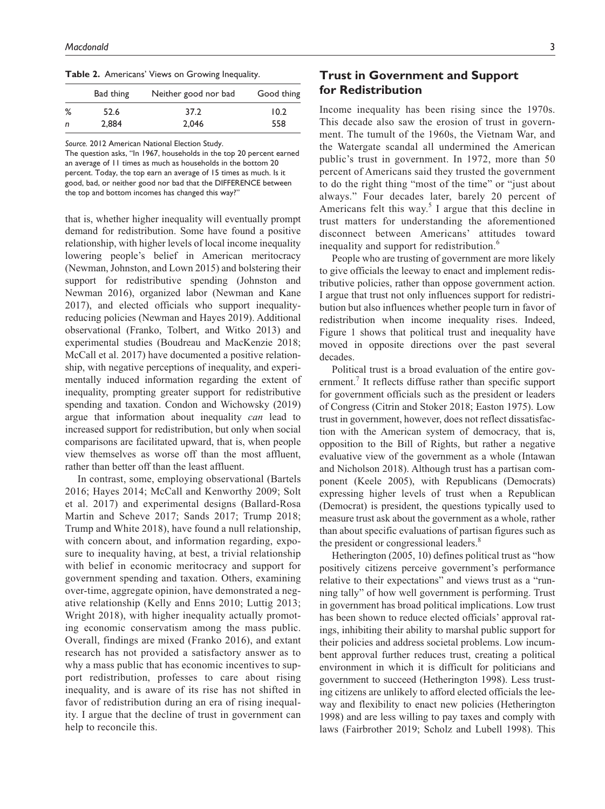**Table 2.** Americans' Views on Growing Inequality.

|   | Bad thing | Neither good nor bad | Good thing |
|---|-----------|----------------------|------------|
| % | 52.6      | 37.2                 | 10.2       |
| n | 2,884     | 2.046                | 558        |

*Source.* 2012 American National Election Study.

The question asks, "In 1967, households in the top 20 percent earned an average of 11 times as much as households in the bottom 20 percent. Today, the top earn an average of 15 times as much. Is it good, bad, or neither good nor bad that the DIFFERENCE between the top and bottom incomes has changed this way?"

that is, whether higher inequality will eventually prompt demand for redistribution. Some have found a positive relationship, with higher levels of local income inequality lowering people's belief in American meritocracy (Newman, Johnston, and Lown 2015) and bolstering their support for redistributive spending (Johnston and Newman 2016), organized labor (Newman and Kane 2017), and elected officials who support inequalityreducing policies (Newman and Hayes 2019). Additional observational (Franko, Tolbert, and Witko 2013) and experimental studies (Boudreau and MacKenzie 2018; McCall et al. 2017) have documented a positive relationship, with negative perceptions of inequality, and experimentally induced information regarding the extent of inequality, prompting greater support for redistributive spending and taxation. Condon and Wichowsky (2019) argue that information about inequality *can* lead to increased support for redistribution, but only when social comparisons are facilitated upward, that is, when people view themselves as worse off than the most affluent, rather than better off than the least affluent.

In contrast, some, employing observational (Bartels 2016; Hayes 2014; McCall and Kenworthy 2009; Solt et al. 2017) and experimental designs (Ballard-Rosa Martin and Scheve 2017; Sands 2017; Trump 2018; Trump and White 2018), have found a null relationship, with concern about, and information regarding, exposure to inequality having, at best, a trivial relationship with belief in economic meritocracy and support for government spending and taxation. Others, examining over-time, aggregate opinion, have demonstrated a negative relationship (Kelly and Enns 2010; Luttig 2013; Wright 2018), with higher inequality actually promoting economic conservatism among the mass public. Overall, findings are mixed (Franko 2016), and extant research has not provided a satisfactory answer as to why a mass public that has economic incentives to support redistribution, professes to care about rising inequality, and is aware of its rise has not shifted in favor of redistribution during an era of rising inequality. I argue that the decline of trust in government can help to reconcile this.

# **Trust in Government and Support for Redistribution**

Income inequality has been rising since the 1970s. This decade also saw the erosion of trust in government. The tumult of the 1960s, the Vietnam War, and the Watergate scandal all undermined the American public's trust in government. In 1972, more than 50 percent of Americans said they trusted the government to do the right thing "most of the time" or "just about always." Four decades later, barely 20 percent of Americans felt this way.<sup>5</sup> I argue that this decline in trust matters for understanding the aforementioned disconnect between Americans' attitudes toward inequality and support for redistribution.<sup>6</sup>

People who are trusting of government are more likely to give officials the leeway to enact and implement redistributive policies, rather than oppose government action. I argue that trust not only influences support for redistribution but also influences whether people turn in favor of redistribution when income inequality rises. Indeed, Figure 1 shows that political trust and inequality have moved in opposite directions over the past several decades.

Political trust is a broad evaluation of the entire government.<sup>7</sup> It reflects diffuse rather than specific support for government officials such as the president or leaders of Congress (Citrin and Stoker 2018; Easton 1975). Low trust in government, however, does not reflect dissatisfaction with the American system of democracy, that is, opposition to the Bill of Rights, but rather a negative evaluative view of the government as a whole (Intawan and Nicholson 2018). Although trust has a partisan component (Keele 2005), with Republicans (Democrats) expressing higher levels of trust when a Republican (Democrat) is president, the questions typically used to measure trust ask about the government as a whole, rather than about specific evaluations of partisan figures such as the president or congressional leaders.<sup>8</sup>

Hetherington (2005, 10) defines political trust as "how positively citizens perceive government's performance relative to their expectations" and views trust as a "running tally" of how well government is performing. Trust in government has broad political implications. Low trust has been shown to reduce elected officials' approval ratings, inhibiting their ability to marshal public support for their policies and address societal problems. Low incumbent approval further reduces trust, creating a political environment in which it is difficult for politicians and government to succeed (Hetherington 1998). Less trusting citizens are unlikely to afford elected officials the leeway and flexibility to enact new policies (Hetherington 1998) and are less willing to pay taxes and comply with laws (Fairbrother 2019; Scholz and Lubell 1998). This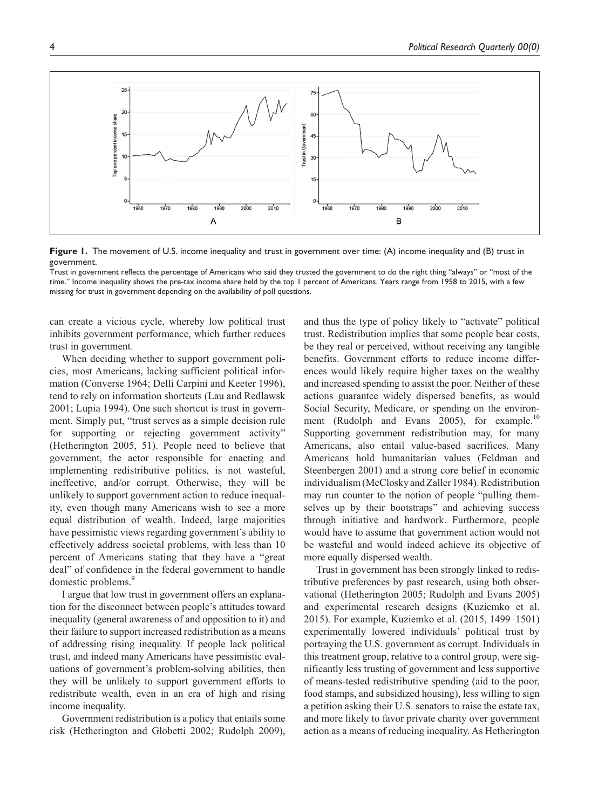

**Figure 1.** The movement of U.S. income inequality and trust in government over time: (A) income inequality and (B) trust in government.

Trust in government reflects the percentage of Americans who said they trusted the government to do the right thing "always" or "most of the time." Income inequality shows the pre-tax income share held by the top 1 percent of Americans. Years range from 1958 to 2015, with a few missing for trust in government depending on the availability of poll questions.

can create a vicious cycle, whereby low political trust inhibits government performance, which further reduces trust in government.

When deciding whether to support government policies, most Americans, lacking sufficient political information (Converse 1964; Delli Carpini and Keeter 1996), tend to rely on information shortcuts (Lau and Redlawsk 2001; Lupia 1994). One such shortcut is trust in government. Simply put, "trust serves as a simple decision rule for supporting or rejecting government activity" (Hetherington 2005, 51). People need to believe that government, the actor responsible for enacting and implementing redistributive politics, is not wasteful, ineffective, and/or corrupt. Otherwise, they will be unlikely to support government action to reduce inequality, even though many Americans wish to see a more equal distribution of wealth. Indeed, large majorities have pessimistic views regarding government's ability to effectively address societal problems, with less than 10 percent of Americans stating that they have a "great deal" of confidence in the federal government to handle domestic problems.<sup>9</sup>

I argue that low trust in government offers an explanation for the disconnect between people's attitudes toward inequality (general awareness of and opposition to it) and their failure to support increased redistribution as a means of addressing rising inequality. If people lack political trust, and indeed many Americans have pessimistic evaluations of government's problem-solving abilities, then they will be unlikely to support government efforts to redistribute wealth, even in an era of high and rising income inequality.

Government redistribution is a policy that entails some risk (Hetherington and Globetti 2002; Rudolph 2009),

and thus the type of policy likely to "activate" political trust. Redistribution implies that some people bear costs, be they real or perceived, without receiving any tangible benefits. Government efforts to reduce income differences would likely require higher taxes on the wealthy and increased spending to assist the poor. Neither of these actions guarantee widely dispersed benefits, as would Social Security, Medicare, or spending on the environment (Rudolph and Evans 2005), for example.<sup>10</sup> Supporting government redistribution may, for many Americans, also entail value-based sacrifices. Many Americans hold humanitarian values (Feldman and Steenbergen 2001) and a strong core belief in economic individualism (McClosky and Zaller 1984). Redistribution may run counter to the notion of people "pulling themselves up by their bootstraps" and achieving success through initiative and hardwork. Furthermore, people would have to assume that government action would not be wasteful and would indeed achieve its objective of more equally dispersed wealth.

Trust in government has been strongly linked to redistributive preferences by past research, using both observational (Hetherington 2005; Rudolph and Evans 2005) and experimental research designs (Kuziemko et al. 2015). For example, Kuziemko et al. (2015, 1499–1501) experimentally lowered individuals' political trust by portraying the U.S. government as corrupt. Individuals in this treatment group, relative to a control group, were significantly less trusting of government and less supportive of means-tested redistributive spending (aid to the poor, food stamps, and subsidized housing), less willing to sign a petition asking their U.S. senators to raise the estate tax, and more likely to favor private charity over government action as a means of reducing inequality. As Hetherington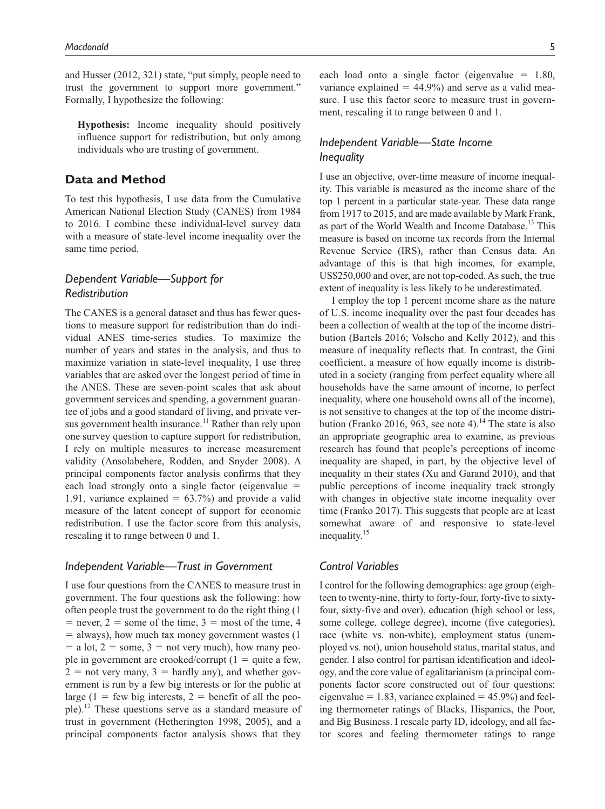and Husser (2012, 321) state, "put simply, people need to trust the government to support more government." Formally, I hypothesize the following:

**Hypothesis:** Income inequality should positively influence support for redistribution, but only among individuals who are trusting of government.

## **Data and Method**

To test this hypothesis, I use data from the Cumulative American National Election Study (CANES) from 1984 to 2016. I combine these individual-level survey data with a measure of state-level income inequality over the same time period.

# *Dependent Variable—Support for Redistribution*

The CANES is a general dataset and thus has fewer questions to measure support for redistribution than do individual ANES time-series studies. To maximize the number of years and states in the analysis, and thus to maximize variation in state-level inequality, I use three variables that are asked over the longest period of time in the ANES. These are seven-point scales that ask about government services and spending, a government guarantee of jobs and a good standard of living, and private versus government health insurance.<sup>11</sup> Rather than rely upon one survey question to capture support for redistribution, I rely on multiple measures to increase measurement validity (Ansolabehere, Rodden, and Snyder 2008). A principal components factor analysis confirms that they each load strongly onto a single factor (eigenvalue = 1.91, variance explained  $= 63.7\%$  and provide a valid measure of the latent concept of support for economic redistribution. I use the factor score from this analysis, rescaling it to range between 0 and 1.

## *Independent Variable—Trust in Government*

I use four questions from the CANES to measure trust in government. The four questions ask the following: how often people trust the government to do the right thing (1  $=$  never,  $2 =$  some of the time,  $3 =$  most of the time, 4 = always), how much tax money government wastes (1  $=$  a lot,  $2 =$  some,  $3 =$  not very much), how many people in government are crooked/corrupt  $(1 =$  quite a few,  $2 =$  not very many,  $3 =$  hardly any), and whether government is run by a few big interests or for the public at large (1 = few big interests, 2 = benefit of all the people).<sup>12</sup> These questions serve as a standard measure of trust in government (Hetherington 1998, 2005), and a principal components factor analysis shows that they

each load onto a single factor (eigenvalue  $= 1.80$ , variance explained  $= 44.9\%$  and serve as a valid measure. I use this factor score to measure trust in government, rescaling it to range between 0 and 1.

## *Independent Variable—State Income Inequality*

I use an objective, over-time measure of income inequality. This variable is measured as the income share of the top 1 percent in a particular state-year. These data range from 1917 to 2015, and are made available by Mark Frank, as part of the World Wealth and Income Database.<sup>13</sup> This measure is based on income tax records from the Internal Revenue Service (IRS), rather than Census data. An advantage of this is that high incomes, for example, US\$250,000 and over, are not top-coded. As such, the true extent of inequality is less likely to be underestimated.

I employ the top 1 percent income share as the nature of U.S. income inequality over the past four decades has been a collection of wealth at the top of the income distribution (Bartels 2016; Volscho and Kelly 2012), and this measure of inequality reflects that. In contrast, the Gini coefficient, a measure of how equally income is distributed in a society (ranging from perfect equality where all households have the same amount of income, to perfect inequality, where one household owns all of the income), is not sensitive to changes at the top of the income distribution (Franko 2016, 963, see note 4).<sup>14</sup> The state is also an appropriate geographic area to examine, as previous research has found that people's perceptions of income inequality are shaped, in part, by the objective level of inequality in their states (Xu and Garand 2010), and that public perceptions of income inequality track strongly with changes in objective state income inequality over time (Franko 2017). This suggests that people are at least somewhat aware of and responsive to state-level inequality.<sup>15</sup>

## *Control Variables*

I control for the following demographics: age group (eighteen to twenty-nine, thirty to forty-four, forty-five to sixtyfour, sixty-five and over), education (high school or less, some college, college degree), income (five categories), race (white vs. non-white), employment status (unemployed vs. not), union household status, marital status, and gender. I also control for partisan identification and ideology, and the core value of egalitarianism (a principal components factor score constructed out of four questions; eigenvalue  $= 1.83$ , variance explained  $= 45.9\%$ ) and feeling thermometer ratings of Blacks, Hispanics, the Poor, and Big Business. I rescale party ID, ideology, and all factor scores and feeling thermometer ratings to range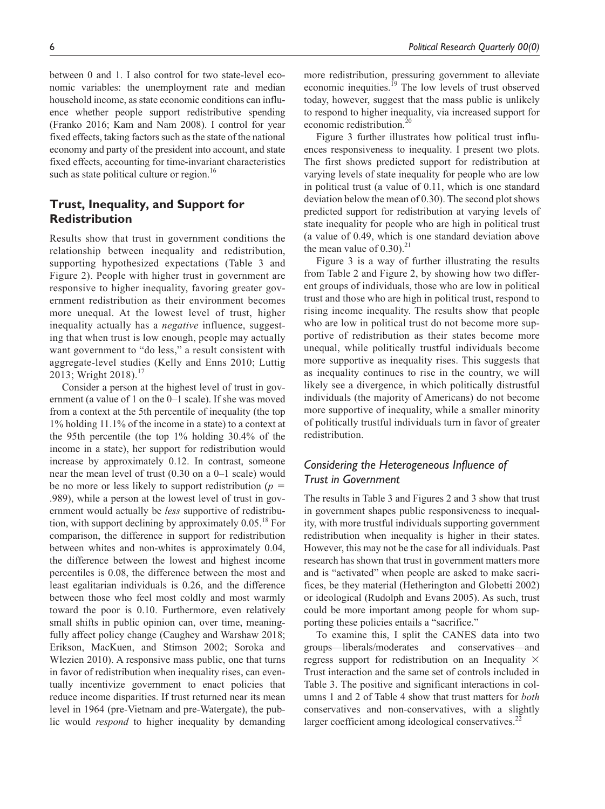between 0 and 1. I also control for two state-level economic variables: the unemployment rate and median household income, as state economic conditions can influence whether people support redistributive spending (Franko 2016; Kam and Nam 2008). I control for year fixed effects, taking factors such as the state of the national economy and party of the president into account, and state fixed effects, accounting for time-invariant characteristics such as state political culture or region.<sup>16</sup>

# **Trust, Inequality, and Support for Redistribution**

Results show that trust in government conditions the relationship between inequality and redistribution, supporting hypothesized expectations (Table 3 and Figure 2). People with higher trust in government are responsive to higher inequality, favoring greater government redistribution as their environment becomes more unequal. At the lowest level of trust, higher inequality actually has a *negative* influence, suggesting that when trust is low enough, people may actually want government to "do less," a result consistent with aggregate-level studies (Kelly and Enns 2010; Luttig 2013; Wright 2018).<sup>17</sup>

Consider a person at the highest level of trust in government (a value of 1 on the 0–1 scale). If she was moved from a context at the 5th percentile of inequality (the top 1% holding 11.1% of the income in a state) to a context at the 95th percentile (the top 1% holding 30.4% of the income in a state), her support for redistribution would increase by approximately 0.12. In contrast, someone near the mean level of trust (0.30 on a 0–1 scale) would be no more or less likely to support redistribution  $(p =$ .989), while a person at the lowest level of trust in government would actually be *less* supportive of redistribution, with support declining by approximately  $0.05$ .<sup>18</sup> For comparison, the difference in support for redistribution between whites and non-whites is approximately 0.04, the difference between the lowest and highest income percentiles is 0.08, the difference between the most and least egalitarian individuals is 0.26, and the difference between those who feel most coldly and most warmly toward the poor is 0.10. Furthermore, even relatively small shifts in public opinion can, over time, meaningfully affect policy change (Caughey and Warshaw 2018; Erikson, MacKuen, and Stimson 2002; Soroka and Wlezien 2010). A responsive mass public, one that turns in favor of redistribution when inequality rises, can eventually incentivize government to enact policies that reduce income disparities. If trust returned near its mean level in 1964 (pre-Vietnam and pre-Watergate), the public would *respond* to higher inequality by demanding

more redistribution, pressuring government to alleviate economic inequities.<sup>19</sup> The low levels of trust observed today, however, suggest that the mass public is unlikely to respond to higher inequality, via increased support for economic redistribution.<sup>20</sup>

Figure 3 further illustrates how political trust influences responsiveness to inequality. I present two plots. The first shows predicted support for redistribution at varying levels of state inequality for people who are low in political trust (a value of 0.11, which is one standard deviation below the mean of 0.30). The second plot shows predicted support for redistribution at varying levels of state inequality for people who are high in political trust (a value of 0.49, which is one standard deviation above the mean value of  $0.30$ .<sup>21</sup>

Figure 3 is a way of further illustrating the results from Table 2 and Figure 2, by showing how two different groups of individuals, those who are low in political trust and those who are high in political trust, respond to rising income inequality. The results show that people who are low in political trust do not become more supportive of redistribution as their states become more unequal, while politically trustful individuals become more supportive as inequality rises. This suggests that as inequality continues to rise in the country, we will likely see a divergence, in which politically distrustful individuals (the majority of Americans) do not become more supportive of inequality, while a smaller minority of politically trustful individuals turn in favor of greater redistribution.

# *Considering the Heterogeneous Influence of Trust in Government*

The results in Table 3 and Figures 2 and 3 show that trust in government shapes public responsiveness to inequality, with more trustful individuals supporting government redistribution when inequality is higher in their states. However, this may not be the case for all individuals. Past research has shown that trust in government matters more and is "activated" when people are asked to make sacrifices, be they material (Hetherington and Globetti 2002) or ideological (Rudolph and Evans 2005). As such, trust could be more important among people for whom supporting these policies entails a "sacrifice."

To examine this, I split the CANES data into two groups—liberals/moderates and conservatives—and regress support for redistribution on an Inequality  $\times$ Trust interaction and the same set of controls included in Table 3. The positive and significant interactions in columns 1 and 2 of Table 4 show that trust matters for *both* conservatives and non-conservatives, with a slightly larger coefficient among ideological conservatives.<sup>22</sup>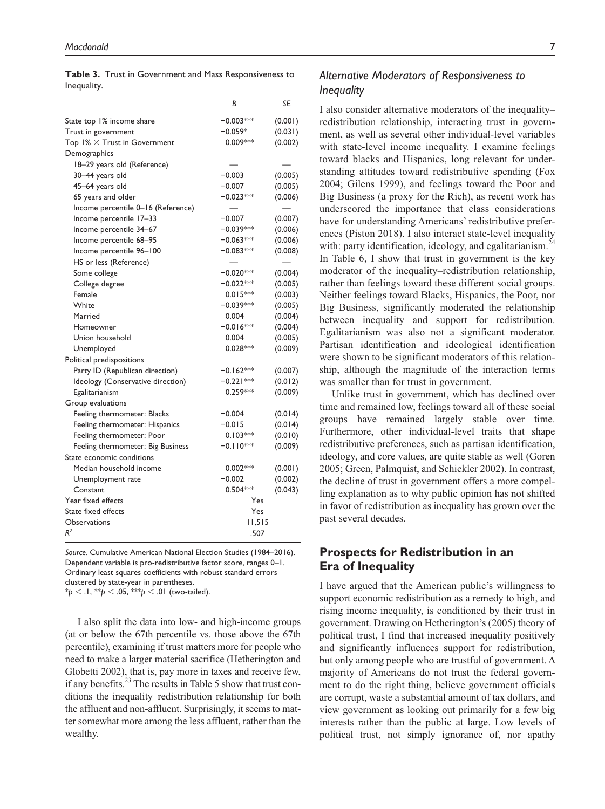|             | Table 3. Trust in Government and Mass Responsiveness to |
|-------------|---------------------------------------------------------|
| Inequality. |                                                         |

|                                      | B           | SE      |
|--------------------------------------|-------------|---------|
| State top 1% income share            | $-0.003***$ | (0.001) |
| Trust in government                  | $-0.059*$   | (0.031) |
| Top $1\% \times$ Trust in Government | $0.009***$  | (0.002) |
| Demographics                         |             |         |
| 18-29 years old (Reference)          |             |         |
| 30–44 years old                      | $-0.003$    | (0.005) |
| 45-64 years old                      | $-0.007$    | (0.005) |
| 65 years and older                   | $-0.023**$  | (0.006) |
| Income percentile 0-16 (Reference)   |             |         |
| Income percentile 17-33              | $-0.007$    | (0.007) |
| Income percentile 34-67              | $-0.039***$ | (0.006) |
| Income percentile 68-95              | $-0.063**$  | (0.006) |
| Income percentile 96-100             | −0.083***   | (0.008) |
| HS or less (Reference)               |             |         |
| Some college                         | $-0.020***$ | (0.004) |
| College degree                       | $-0.022***$ | (0.005) |
| Female                               | $0.015***$  | (0.003) |
| White                                | $-0.039***$ | (0.005) |
| Married                              | 0.004       | (0.004) |
| Homeowner                            | −0.016***   | (0.004) |
| Union household                      | 0.004       | (0.005) |
| Unemployed                           | $0.028***$  | (0.009) |
| Political predispositions            |             |         |
| Party ID (Republican direction)      | $-0.162***$ | (0.007) |
| Ideology (Conservative direction)    | $-0.221***$ | (0.012) |
| Egalitarianism                       | $0.259***$  | (0.009) |
| Group evaluations                    |             |         |
| Feeling thermometer: Blacks          | $-0.004$    | (0.014) |
| Feeling thermometer: Hispanics       | $-0.015$    | (0.014) |
| Feeling thermometer: Poor            | $0.103***$  | (0.010) |
| Feeling thermometer: Big Business    | $-0.110***$ | (0.009) |
| State economic conditions            |             |         |
| Median household income              | $0.002***$  | (0.001) |
| Unemployment rate                    | $-0.002$    | (0.002) |
| Constant                             | $0.504***$  | (0.043) |
| Year fixed effects                   | Yes         |         |
| State fixed effects                  | Yes         |         |
| Observations                         | 11,515      |         |
| $R^2$                                | .507        |         |

*Source.* Cumulative American National Election Studies (1984–2016). Dependent variable is pro-redistributive factor score, ranges 0–1. Ordinary least squares coefficients with robust standard errors clustered by state-year in parentheses.  $*$ *p* < .1,  $*$ <sup>\*</sup>*p* < .05,  $*$ <sup>\*</sup>*p* < .01 (two-tailed).

I also split the data into low- and high-income groups (at or below the 67th percentile vs. those above the 67th percentile), examining if trust matters more for people who need to make a larger material sacrifice (Hetherington and Globetti 2002), that is, pay more in taxes and receive few, if any benefits.<sup>23</sup> The results in Table 5 show that trust conditions the inequality–redistribution relationship for both the affluent and non-affluent. Surprisingly, it seems to matter somewhat more among the less affluent, rather than the wealthy.

## *Alternative Moderators of Responsiveness to Inequality*

I also consider alternative moderators of the inequality– redistribution relationship, interacting trust in government, as well as several other individual-level variables with state-level income inequality. I examine feelings toward blacks and Hispanics, long relevant for understanding attitudes toward redistributive spending (Fox 2004; Gilens 1999), and feelings toward the Poor and Big Business (a proxy for the Rich), as recent work has underscored the importance that class considerations have for understanding Americans' redistributive preferences (Piston 2018). I also interact state-level inequality with: party identification, ideology, and egalitarianism.<sup>24</sup> In Table 6, I show that trust in government is the key moderator of the inequality–redistribution relationship, rather than feelings toward these different social groups. Neither feelings toward Blacks, Hispanics, the Poor, nor Big Business, significantly moderated the relationship between inequality and support for redistribution. Egalitarianism was also not a significant moderator. Partisan identification and ideological identification were shown to be significant moderators of this relationship, although the magnitude of the interaction terms was smaller than for trust in government.

Unlike trust in government, which has declined over time and remained low, feelings toward all of these social groups have remained largely stable over time. Furthermore, other individual-level traits that shape redistributive preferences, such as partisan identification, ideology, and core values, are quite stable as well (Goren 2005; Green, Palmquist, and Schickler 2002). In contrast, the decline of trust in government offers a more compelling explanation as to why public opinion has not shifted in favor of redistribution as inequality has grown over the past several decades.

## **Prospects for Redistribution in an Era of Inequality**

I have argued that the American public's willingness to support economic redistribution as a remedy to high, and rising income inequality, is conditioned by their trust in government. Drawing on Hetherington's (2005) theory of political trust, I find that increased inequality positively and significantly influences support for redistribution, but only among people who are trustful of government. A majority of Americans do not trust the federal government to do the right thing, believe government officials are corrupt, waste a substantial amount of tax dollars, and view government as looking out primarily for a few big interests rather than the public at large. Low levels of political trust, not simply ignorance of, nor apathy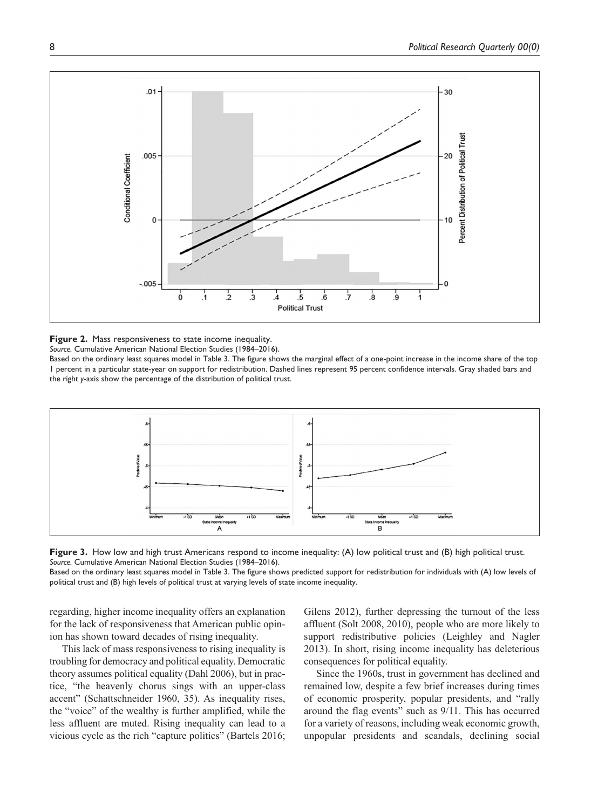

**Figure 2.** Mass responsiveness to state income inequality. *Source.* Cumulative American National Election Studies (1984–2016).

Based on the ordinary least squares model in Table 3. The figure shows the marginal effect of a one-point increase in the income share of the top 1 percent in a particular state-year on support for redistribution. Dashed lines represent 95 percent confidence intervals. Gray shaded bars and the right *y*-axis show the percentage of the distribution of political trust.





Based on the ordinary least squares model in Table 3. The figure shows predicted support for redistribution for individuals with (A) low levels of political trust and (B) high levels of political trust at varying levels of state income inequality.

regarding, higher income inequality offers an explanation for the lack of responsiveness that American public opinion has shown toward decades of rising inequality.

This lack of mass responsiveness to rising inequality is troubling for democracy and political equality. Democratic theory assumes political equality (Dahl 2006), but in practice, "the heavenly chorus sings with an upper-class accent" (Schattschneider 1960, 35). As inequality rises, the "voice" of the wealthy is further amplified, while the less affluent are muted. Rising inequality can lead to a vicious cycle as the rich "capture politics" (Bartels 2016; Gilens 2012), further depressing the turnout of the less affluent (Solt 2008, 2010), people who are more likely to support redistributive policies (Leighley and Nagler 2013). In short, rising income inequality has deleterious consequences for political equality.

Since the 1960s, trust in government has declined and remained low, despite a few brief increases during times of economic prosperity, popular presidents, and "rally around the flag events" such as 9/11. This has occurred for a variety of reasons, including weak economic growth, unpopular presidents and scandals, declining social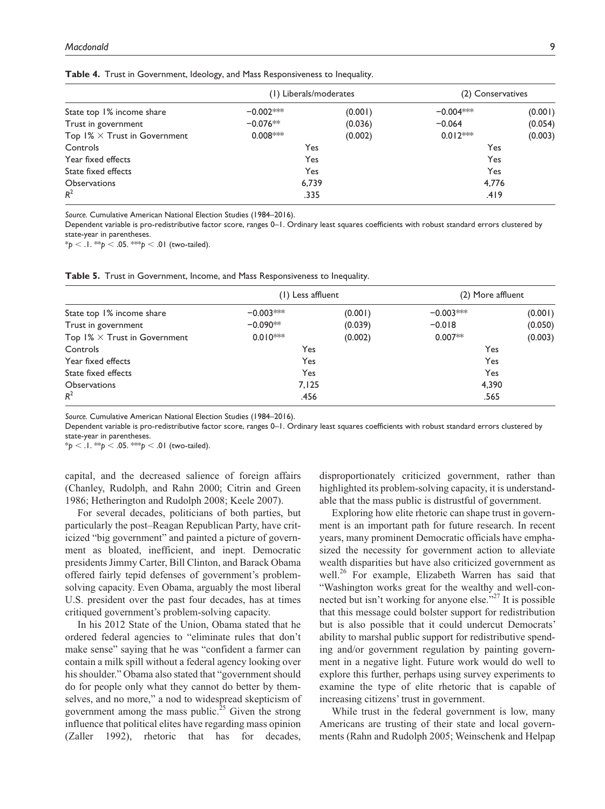|                                      | (1) Liberals/moderates |         | (2) Conservatives |         |
|--------------------------------------|------------------------|---------|-------------------|---------|
| State top 1% income share            | $-0.002***$            | (0.001) | $-0.004$ **       | (0.001) |
| Trust in government                  | $-0.076**$             | (0.036) | $-0.064$          | (0.054) |
| Top $1\% \times$ Trust in Government | $0.008***$             | (0.002) | $0.012***$        | (0.003) |
| Controls                             | Yes                    |         | Yes               |         |
| Year fixed effects                   | Yes                    |         | Yes               |         |
| State fixed effects                  | Yes                    |         | Yes               |         |
| <b>Observations</b>                  | 6,739                  |         | 4.776             |         |
| $R^2$                                | .335                   |         | .419              |         |

**Table 4.** Trust in Government, Ideology, and Mass Responsiveness to Inequality.

*Source.* Cumulative American National Election Studies (1984–2016).

Dependent variable is pro-redistributive factor score, ranges 0–1. Ordinary least squares coefficients with robust standard errors clustered by state-year in parentheses.

 $*$ *p* <  $\cdot$  l.  $*$  $*$ *p* <  $\cdot$  05.  $*$  $*$  $*$ *p* <  $\cdot$  01 (two-tailed).

|  |  | Table 5. Trust in Government, Income, and Mass Responsiveness to Inequality. |  |  |  |  |  |  |
|--|--|------------------------------------------------------------------------------|--|--|--|--|--|--|
|--|--|------------------------------------------------------------------------------|--|--|--|--|--|--|

|                                      | (1) Less affluent |         | (2) More affluent |         |
|--------------------------------------|-------------------|---------|-------------------|---------|
| State top 1% income share            | $-0.003***$       | (0.001) | $-0.003***$       | (0.001) |
| Trust in government                  | $-0.090**$        | (0.039) | $-0.018$          | (0.050) |
| Top $1\% \times$ Trust in Government | $0.010$ **        | (0.002) | $0.007**$         | (0.003) |
| Controls                             | Yes               |         | Yes               |         |
| Year fixed effects                   | Yes               |         | Yes               |         |
| State fixed effects                  | Yes               |         | Yes               |         |
| <b>Observations</b>                  | 7,125             |         | 4,390             |         |
| $R^2$                                | .456              |         | .565              |         |

*Source.* Cumulative American National Election Studies (1984–2016).

Dependent variable is pro-redistributive factor score, ranges 0–1. Ordinary least squares coefficients with robust standard errors clustered by state-year in parentheses.

 $* p < 0.1.* p < 0.05.*^{**} p < 0.01$  (two-tailed).

capital, and the decreased salience of foreign affairs (Chanley, Rudolph, and Rahn 2000; Citrin and Green 1986; Hetherington and Rudolph 2008; Keele 2007).

For several decades, politicians of both parties, but particularly the post–Reagan Republican Party, have criticized "big government" and painted a picture of government as bloated, inefficient, and inept. Democratic presidents Jimmy Carter, Bill Clinton, and Barack Obama offered fairly tepid defenses of government's problemsolving capacity. Even Obama, arguably the most liberal U.S. president over the past four decades, has at times critiqued government's problem-solving capacity.

In his 2012 State of the Union, Obama stated that he ordered federal agencies to "eliminate rules that don't make sense" saying that he was "confident a farmer can contain a milk spill without a federal agency looking over his shoulder." Obama also stated that "government should do for people only what they cannot do better by themselves, and no more," a nod to widespread skepticism of government among the mass public.<sup> $25$ </sup> Given the strong influence that political elites have regarding mass opinion (Zaller 1992), rhetoric that has for decades,

disproportionately criticized government, rather than highlighted its problem-solving capacity, it is understandable that the mass public is distrustful of government.

Exploring how elite rhetoric can shape trust in government is an important path for future research. In recent years, many prominent Democratic officials have emphasized the necessity for government action to alleviate wealth disparities but have also criticized government as well.<sup>26</sup> For example, Elizabeth Warren has said that "Washington works great for the wealthy and well-connected but isn't working for anyone else."<sup>27</sup> It is possible that this message could bolster support for redistribution but is also possible that it could undercut Democrats' ability to marshal public support for redistributive spending and/or government regulation by painting government in a negative light. Future work would do well to explore this further, perhaps using survey experiments to examine the type of elite rhetoric that is capable of increasing citizens' trust in government.

While trust in the federal government is low, many Americans are trusting of their state and local governments (Rahn and Rudolph 2005; Weinschenk and Helpap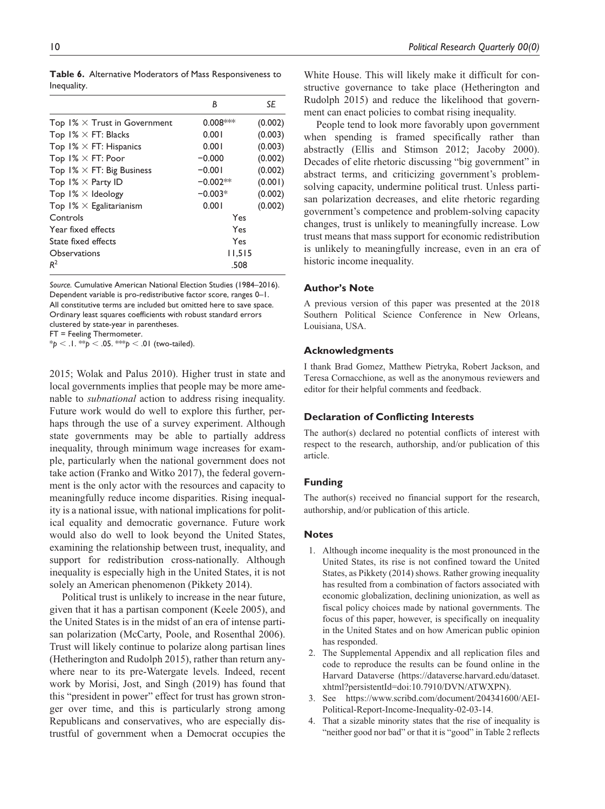|                                      | B          | SE      |
|--------------------------------------|------------|---------|
| Top $1\% \times$ Trust in Government | $0.008***$ | (0.002) |
| Top $1\% \times FT$ : Blacks         | 0.001      | (0.003) |
| Top $1\% \times FT$ : Hispanics      | 0.001      | (0.003) |
| Top $1\% \times FT$ : Poor           | $-0.000$   | (0.002) |
| Top $1\% \times FT$ : Big Business   | $-0.001$   | (0.002) |
| Top $1\% \times$ Party ID            | $-0.002**$ | (0.001) |
| Top $1\% \times$ Ideology            | $-0.003*$  | (0.002) |
| Top $1\% \times$ Egalitarianism      | 0.001      | (0.002) |
| Controls                             | Yes        |         |
| Year fixed effects                   | Yes        |         |
| State fixed effects                  | Yes        |         |
| Observations                         | 11,515     |         |
| $R^2$                                | .508       |         |

**Table 6.** Alternative Moderators of Mass Responsiveness to Inequality.

*Source.* Cumulative American National Election Studies (1984–2016). Dependent variable is pro-redistributive factor score, ranges 0–1. All constitutive terms are included but omitted here to save space. Ordinary least squares coefficients with robust standard errors clustered by state-year in parentheses.

FT = Feeling Thermometer.

\**p* < .1. \*\**p* < .05. \*\*\**p* < .01 (two-tailed).

2015; Wolak and Palus 2010). Higher trust in state and local governments implies that people may be more amenable to *subnational* action to address rising inequality. Future work would do well to explore this further, perhaps through the use of a survey experiment. Although state governments may be able to partially address inequality, through minimum wage increases for example, particularly when the national government does not take action (Franko and Witko 2017), the federal government is the only actor with the resources and capacity to meaningfully reduce income disparities. Rising inequality is a national issue, with national implications for political equality and democratic governance. Future work would also do well to look beyond the United States, examining the relationship between trust, inequality, and support for redistribution cross-nationally. Although inequality is especially high in the United States, it is not solely an American phenomenon (Pikkety 2014).

Political trust is unlikely to increase in the near future, given that it has a partisan component (Keele 2005), and the United States is in the midst of an era of intense partisan polarization (McCarty, Poole, and Rosenthal 2006). Trust will likely continue to polarize along partisan lines (Hetherington and Rudolph 2015), rather than return anywhere near to its pre-Watergate levels. Indeed, recent work by Morisi, Jost, and Singh (2019) has found that this "president in power" effect for trust has grown stronger over time, and this is particularly strong among Republicans and conservatives, who are especially distrustful of government when a Democrat occupies the White House. This will likely make it difficult for constructive governance to take place (Hetherington and Rudolph 2015) and reduce the likelihood that government can enact policies to combat rising inequality.

People tend to look more favorably upon government when spending is framed specifically rather than abstractly (Ellis and Stimson 2012; Jacoby 2000). Decades of elite rhetoric discussing "big government" in abstract terms, and criticizing government's problemsolving capacity, undermine political trust. Unless partisan polarization decreases, and elite rhetoric regarding government's competence and problem-solving capacity changes, trust is unlikely to meaningfully increase. Low trust means that mass support for economic redistribution is unlikely to meaningfully increase, even in an era of historic income inequality.

#### **Author's Note**

A previous version of this paper was presented at the 2018 Southern Political Science Conference in New Orleans, Louisiana, USA.

#### **Acknowledgments**

I thank Brad Gomez, Matthew Pietryka, Robert Jackson, and Teresa Cornacchione, as well as the anonymous reviewers and editor for their helpful comments and feedback.

#### **Declaration of Conflicting Interests**

The author(s) declared no potential conflicts of interest with respect to the research, authorship, and/or publication of this article.

### **Funding**

The author(s) received no financial support for the research, authorship, and/or publication of this article.

#### **Notes**

- 1. Although income inequality is the most pronounced in the United States, its rise is not confined toward the United States, as Pikkety (2014) shows. Rather growing inequality has resulted from a combination of factors associated with economic globalization, declining unionization, as well as fiscal policy choices made by national governments. The focus of this paper, however, is specifically on inequality in the United States and on how American public opinion has responded.
- 2. The Supplemental Appendix and all replication files and code to reproduce the results can be found online in the Harvard Dataverse [\(https://dataverse.harvard.edu/dataset.](https://dataverse.harvard.edu/dataset.xhtml?persistentId=doi:10.7910/DVN/ATWXPN) [xhtml?persistentId=doi:10.7910/DVN/ATWXPN](https://dataverse.harvard.edu/dataset.xhtml?persistentId=doi:10.7910/DVN/ATWXPN)).
- 3. See [https://www.scribd.com/document/204341600/AEI-](https://www.scribd.com/document/204341600/AEI-Political-Report-Income-Inequality-02-03-14)[Political-Report-Income-Inequality-02-03-14.](https://www.scribd.com/document/204341600/AEI-Political-Report-Income-Inequality-02-03-14)
- 4. That a sizable minority states that the rise of inequality is "neither good nor bad" or that it is "good" in Table 2 reflects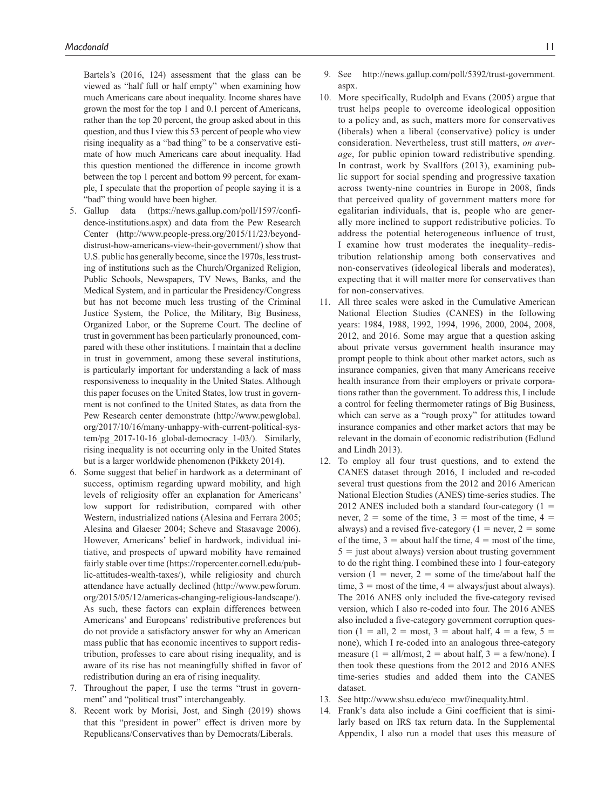Bartels's (2016, 124) assessment that the glass can be viewed as "half full or half empty" when examining how much Americans care about inequality. Income shares have grown the most for the top 1 and 0.1 percent of Americans, rather than the top 20 percent, the group asked about in this question, and thus I view this 53 percent of people who view rising inequality as a "bad thing" to be a conservative estimate of how much Americans care about inequality. Had this question mentioned the difference in income growth between the top 1 percent and bottom 99 percent, for example, I speculate that the proportion of people saying it is a "bad" thing would have been higher.

- 5. Gallup data ([https://news.gallup.com/poll/1597/confi](https://news.gallup.com/poll/1597/confidence-institutions.aspx)[dence-institutions.aspx\)](https://news.gallup.com/poll/1597/confidence-institutions.aspx) and data from the Pew Research Center ([http://www.people-press.org/2015/11/23/beyond](http://www.people-press.org/2015/11/23/beyond-distrust-how-americans-view-their-government/)[distrust-how-americans-view-their-government/\)](http://www.people-press.org/2015/11/23/beyond-distrust-how-americans-view-their-government/) show that U.S. public has generally become, since the 1970s, less trusting of institutions such as the Church/Organized Religion, Public Schools, Newspapers, TV News, Banks, and the Medical System, and in particular the Presidency/Congress but has not become much less trusting of the Criminal Justice System, the Police, the Military, Big Business, Organized Labor, or the Supreme Court. The decline of trust in government has been particularly pronounced, compared with these other institutions. I maintain that a decline in trust in government, among these several institutions, is particularly important for understanding a lack of mass responsiveness to inequality in the United States. Although this paper focuses on the United States, low trust in government is not confined to the United States, as data from the Pew Research center demonstrate [\(http://www.pewglobal.](http://www.pewglobal.org/2017/10/16/many-unhappy-with-current-political-system/pg_2017-10-16_global-democracy_1-03/) [org/2017/10/16/many-unhappy-with-current-political-sys](http://www.pewglobal.org/2017/10/16/many-unhappy-with-current-political-system/pg_2017-10-16_global-democracy_1-03/)[tem/pg\\_2017-10-16\\_global-democracy\\_1-03/\)](http://www.pewglobal.org/2017/10/16/many-unhappy-with-current-political-system/pg_2017-10-16_global-democracy_1-03/). Similarly, rising inequality is not occurring only in the United States but is a larger worldwide phenomenon (Pikkety 2014).
- 6. Some suggest that belief in hardwork as a determinant of success, optimism regarding upward mobility, and high levels of religiosity offer an explanation for Americans' low support for redistribution, compared with other Western, industrialized nations (Alesina and Ferrara 2005; Alesina and Glaeser 2004; Scheve and Stasavage 2006). However, Americans' belief in hardwork, individual initiative, and prospects of upward mobility have remained fairly stable over time [\(https://ropercenter.cornell.edu/pub](https://ropercenter.cornell.edu/public-attitudes-wealth-taxes/)[lic-attitudes-wealth-taxes/](https://ropercenter.cornell.edu/public-attitudes-wealth-taxes/)), while religiosity and church attendance have actually declined [\(http://www.pewforum.](http://www.pewforum.org/2015/05/12/americas-changing-religious-landscape/) [org/2015/05/12/americas-changing-religious-landscape/\)](http://www.pewforum.org/2015/05/12/americas-changing-religious-landscape/). As such, these factors can explain differences between Americans' and Europeans' redistributive preferences but do not provide a satisfactory answer for why an American mass public that has economic incentives to support redistribution, professes to care about rising inequality, and is aware of its rise has not meaningfully shifted in favor of redistribution during an era of rising inequality.
- 7. Throughout the paper, I use the terms "trust in government" and "political trust" interchangeably.
- 8. Recent work by Morisi, Jost, and Singh (2019) shows that this "president in power" effect is driven more by Republicans/Conservatives than by Democrats/Liberals.
- 9. See [http://news.gallup.com/poll/5392/trust-government.](http://news.gallup.com/poll/5392/trust-government.aspx) [aspx](http://news.gallup.com/poll/5392/trust-government.aspx).
- 10. More specifically, Rudolph and Evans (2005) argue that trust helps people to overcome ideological opposition to a policy and, as such, matters more for conservatives (liberals) when a liberal (conservative) policy is under consideration. Nevertheless, trust still matters, *on average*, for public opinion toward redistributive spending. In contrast, work by Svallfors (2013), examining public support for social spending and progressive taxation across twenty-nine countries in Europe in 2008, finds that perceived quality of government matters more for egalitarian individuals, that is, people who are generally more inclined to support redistributive policies. To address the potential heterogeneous influence of trust, I examine how trust moderates the inequality–redistribution relationship among both conservatives and non-conservatives (ideological liberals and moderates), expecting that it will matter more for conservatives than for non-conservatives.
- 11. All three scales were asked in the Cumulative American National Election Studies (CANES) in the following years: 1984, 1988, 1992, 1994, 1996, 2000, 2004, 2008, 2012, and 2016. Some may argue that a question asking about private versus government health insurance may prompt people to think about other market actors, such as insurance companies, given that many Americans receive health insurance from their employers or private corporations rather than the government. To address this, I include a control for feeling thermometer ratings of Big Business, which can serve as a "rough proxy" for attitudes toward insurance companies and other market actors that may be relevant in the domain of economic redistribution (Edlund and Lindh 2013).
- 12. To employ all four trust questions, and to extend the CANES dataset through 2016, I included and re-coded several trust questions from the 2012 and 2016 American National Election Studies (ANES) time-series studies. The 2012 ANES included both a standard four-category  $(1 =$ never,  $2 =$  some of the time,  $3 =$  most of the time,  $4 =$ always) and a revised five-category ( $1 =$  never,  $2 =$  some of the time,  $3 =$  about half the time,  $4 =$  most of the time,  $5 =$  just about always) version about trusting government to do the right thing. I combined these into 1 four-category version (1 = never, 2 = some of the time/about half the time,  $3 = \text{most of the time}, 4 = \text{always}/\text{just}$  about always). The 2016 ANES only included the five-category revised version, which I also re-coded into four. The 2016 ANES also included a five-category government corruption question (1 = all, 2 = most, 3 = about half, 4 = a few, 5 = none), which I re-coded into an analogous three-category measure (1 = all/most, 2 = about half, 3 = a few/none). I then took these questions from the 2012 and 2016 ANES time-series studies and added them into the CANES dataset.
- 13. See [http://www.shsu.edu/eco\\_mwf/inequality.html.](http://www.shsu.edu/eco_mwf/inequality.html)
- 14. Frank's data also include a Gini coefficient that is similarly based on IRS tax return data. In the Supplemental Appendix, I also run a model that uses this measure of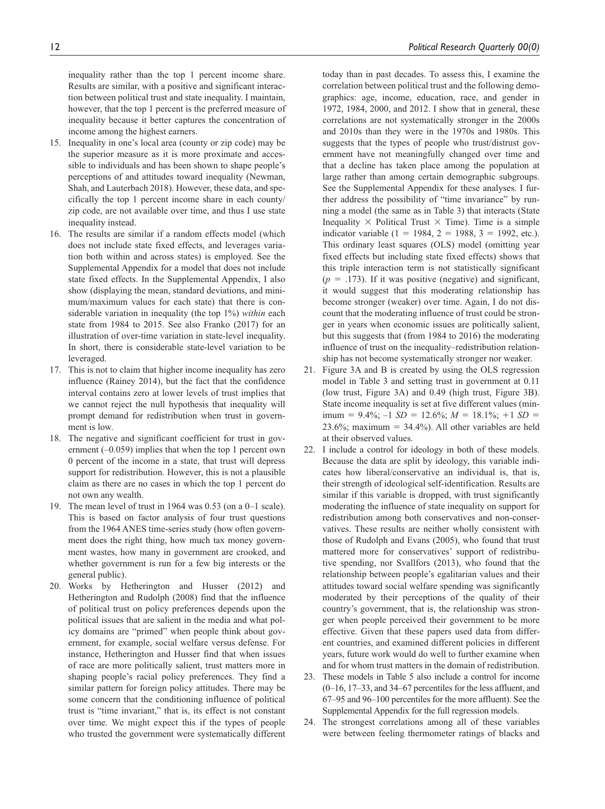inequality rather than the top 1 percent income share. Results are similar, with a positive and significant interaction between political trust and state inequality. I maintain, however, that the top 1 percent is the preferred measure of inequality because it better captures the concentration of income among the highest earners.

- 15. Inequality in one's local area (county or zip code) may be the superior measure as it is more proximate and accessible to individuals and has been shown to shape people's perceptions of and attitudes toward inequality (Newman, Shah, and Lauterbach 2018). However, these data, and specifically the top 1 percent income share in each county/ zip code, are not available over time, and thus I use state inequality instead.
- 16. The results are similar if a random effects model (which does not include state fixed effects, and leverages variation both within and across states) is employed. See the Supplemental Appendix for a model that does not include state fixed effects. In the Supplemental Appendix, I also show (displaying the mean, standard deviations, and minimum/maximum values for each state) that there is considerable variation in inequality (the top 1%) *within* each state from 1984 to 2015. See also Franko (2017) for an illustration of over-time variation in state-level inequality. In short, there is considerable state-level variation to be leveraged.
- 17. This is not to claim that higher income inequality has zero influence (Rainey 2014), but the fact that the confidence interval contains zero at lower levels of trust implies that we cannot reject the null hypothesis that inequality will prompt demand for redistribution when trust in government is low.
- 18. The negative and significant coefficient for trust in government  $(-0.059)$  implies that when the top 1 percent own 0 percent of the income in a state, that trust will depress support for redistribution. However, this is not a plausible claim as there are no cases in which the top 1 percent do not own any wealth.
- 19. The mean level of trust in 1964 was 0.53 (on a 0–1 scale). This is based on factor analysis of four trust questions from the 1964 ANES time-series study (how often government does the right thing, how much tax money government wastes, how many in government are crooked, and whether government is run for a few big interests or the general public).
- 20. Works by Hetherington and Husser (2012) and Hetherington and Rudolph (2008) find that the influence of political trust on policy preferences depends upon the political issues that are salient in the media and what policy domains are "primed" when people think about government, for example, social welfare versus defense. For instance, Hetherington and Husser find that when issues of race are more politically salient, trust matters more in shaping people's racial policy preferences. They find a similar pattern for foreign policy attitudes. There may be some concern that the conditioning influence of political trust is "time invariant," that is, its effect is not constant over time. We might expect this if the types of people who trusted the government were systematically different

today than in past decades. To assess this, I examine the correlation between political trust and the following demographics: age, income, education, race, and gender in 1972, 1984, 2000, and 2012. I show that in general, these correlations are not systematically stronger in the 2000s and 2010s than they were in the 1970s and 1980s. This suggests that the types of people who trust/distrust government have not meaningfully changed over time and that a decline has taken place among the population at large rather than among certain demographic subgroups. See the Supplemental Appendix for these analyses. I further address the possibility of "time invariance" by running a model (the same as in Table 3) that interacts (State Inequality  $\times$  Political Trust  $\times$  Time). Time is a simple indicator variable (1 = 1984, 2 = 1988, 3 = 1992, etc.). This ordinary least squares (OLS) model (omitting year fixed effects but including state fixed effects) shows that this triple interaction term is not statistically significant  $(p = .173)$ . If it was positive (negative) and significant, it would suggest that this moderating relationship has become stronger (weaker) over time. Again, I do not discount that the moderating influence of trust could be stronger in years when economic issues are politically salient, but this suggests that (from 1984 to 2016) the moderating influence of trust on the inequality–redistribution relationship has not become systematically stronger nor weaker.

- 21. Figure 3A and B is created by using the OLS regression model in Table 3 and setting trust in government at 0.11 (low trust, Figure 3A) and 0.49 (high trust, Figure 3B). State income inequality is set at five different values (min- $\text{imum} = 9.4\%; -1 \text{ } SD = 12.6\%; M = 18.1\%; +1 \text{ } SD = 12.6\%; M = 18.1\%; -1 \text{ } SD = 12.6\%; M = 18.1\%; -1 \text{ } SD = 12.6\%; M = 18.1\%; -1 \text{ } SD = 12.6\%; M = 18.1\%; -1 \text{ } SD = 12.6\%; M = 18.1\%; -1 \text{ } SD = 12.6\%; M = 18.1\%; -1 \text{ } SD = 12.6\%; M = 18.1\%; -1 \text{ } SD = 12.6\%; M$ 23.6%; maximum =  $34.4\%$ ). All other variables are held at their observed values.
- 22. I include a control for ideology in both of these models. Because the data are split by ideology, this variable indicates how liberal/conservative an individual is, that is, their strength of ideological self-identification. Results are similar if this variable is dropped, with trust significantly moderating the influence of state inequality on support for redistribution among both conservatives and non-conservatives. These results are neither wholly consistent with those of Rudolph and Evans (2005), who found that trust mattered more for conservatives' support of redistributive spending, nor Svallfors (2013), who found that the relationship between people's egalitarian values and their attitudes toward social welfare spending was significantly moderated by their perceptions of the quality of their country's government, that is, the relationship was stronger when people perceived their government to be more effective. Given that these papers used data from different countries, and examined different policies in different years, future work would do well to further examine when and for whom trust matters in the domain of redistribution.
- 23. These models in Table 5 also include a control for income (0–16, 17–33, and 34–67 percentiles for the less affluent, and 67–95 and 96–100 percentiles for the more affluent). See the Supplemental Appendix for the full regression models.
- 24. The strongest correlations among all of these variables were between feeling thermometer ratings of blacks and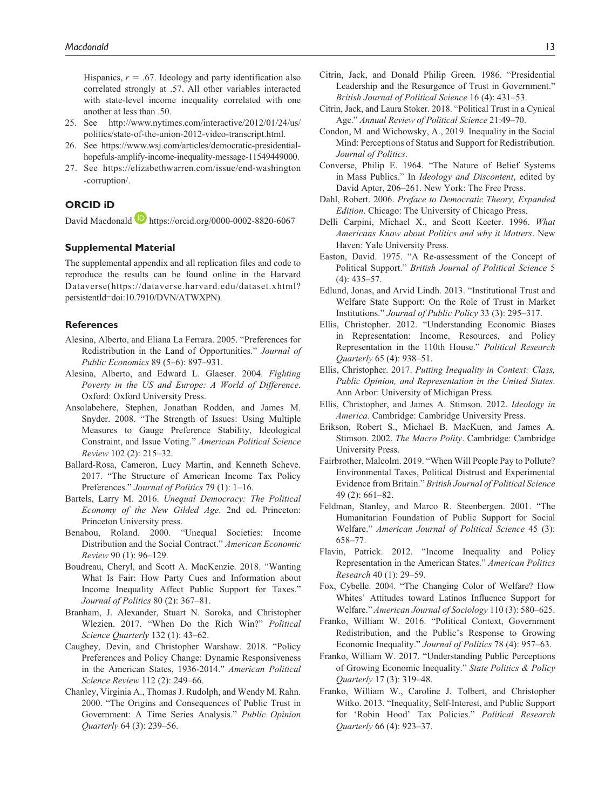Hispanics,  $r = .67$ . Ideology and party identification also correlated strongly at .57. All other variables interacted with state-level income inequality correlated with one another at less than .50.

- 25. See [http://www.nytimes.com/interactive/2012/01/24/us/](http://www.nytimes.com/interactive/2012/01/24/us/politics/state-of-the-union-2012-video-transcript.html) [politics/state-of-the-union-2012-video-transcript.html](http://www.nytimes.com/interactive/2012/01/24/us/politics/state-of-the-union-2012-video-transcript.html).
- 26. See [https://www.wsj.com/articles/democratic-presidential](https://www.wsj.com/articles/democratic-presidential-hopefuls-amplify-income-inequality-message-11549449000)[hopefuls-amplify-income-inequality-message-11549449000](https://www.wsj.com/articles/democratic-presidential-hopefuls-amplify-income-inequality-message-11549449000).
- 27. See [https://elizabethwarren.com/issue/end-washington](https://elizabethwarren.com/issue/end-washington-corruption/) [-corruption/.](https://elizabethwarren.com/issue/end-washington-corruption/)

## **ORCID iD**

David Macdonald **D** <https://orcid.org/0000-0002-8820-6067>

## **Supplemental Material**

The supplemental appendix and all replication files and code to reproduce the results can be found online in the Harvard Dataverse(https://dataverse.harvard.edu/dataset.xhtml? persistentId=doi:10.7910/DVN/ATWXPN).

#### **References**

- Alesina, Alberto, and Eliana La Ferrara. 2005. "Preferences for Redistribution in the Land of Opportunities." *Journal of Public Economics* 89 (5–6): 897–931.
- Alesina, Alberto, and Edward L. Glaeser. 2004. *Fighting Poverty in the US and Europe: A World of Difference*. Oxford: Oxford University Press.
- Ansolabehere, Stephen, Jonathan Rodden, and James M. Snyder. 2008. "The Strength of Issues: Using Multiple Measures to Gauge Preference Stability, Ideological Constraint, and Issue Voting." *American Political Science Review* 102 (2): 215–32.
- Ballard-Rosa, Cameron, Lucy Martin, and Kenneth Scheve. 2017. "The Structure of American Income Tax Policy Preferences." *Journal of Politics* 79 (1): 1–16.
- Bartels, Larry M. 2016. *Unequal Democracy: The Political Economy of the New Gilded Age*. 2nd ed. Princeton: Princeton University press.
- Benabou, Roland. 2000. "Unequal Societies: Income Distribution and the Social Contract." *American Economic Review* 90 (1): 96–129.
- Boudreau, Cheryl, and Scott A. MacKenzie. 2018. "Wanting What Is Fair: How Party Cues and Information about Income Inequality Affect Public Support for Taxes." *Journal of Politics* 80 (2): 367–81.
- Branham, J. Alexander, Stuart N. Soroka, and Christopher Wlezien. 2017. "When Do the Rich Win?" *Political Science Quarterly* 132 (1): 43–62.
- Caughey, Devin, and Christopher Warshaw. 2018. "Policy Preferences and Policy Change: Dynamic Responsiveness in the American States, 1936-2014." *American Political Science Review* 112 (2): 249–66.
- Chanley, Virginia A., Thomas J. Rudolph, and Wendy M. Rahn. 2000. "The Origins and Consequences of Public Trust in Government: A Time Series Analysis." *Public Opinion Quarterly* 64 (3): 239–56.
- Citrin, Jack, and Donald Philip Green. 1986. "Presidential Leadership and the Resurgence of Trust in Government." *British Journal of Political Science* 16 (4): 431–53.
- Citrin, Jack, and Laura Stoker. 2018. "Political Trust in a Cynical Age." *Annual Review of Political Science* 21:49–70.
- Condon, M. and Wichowsky, A., 2019. Inequality in the Social Mind: Perceptions of Status and Support for Redistribution. *Journal of Politics*.
- Converse, Philip E. 1964. "The Nature of Belief Systems in Mass Publics." In *Ideology and Discontent*, edited by David Apter, 206–261. New York: The Free Press.
- Dahl, Robert. 2006. *Preface to Democratic Theory, Expanded Edition*. Chicago: The University of Chicago Press.
- Delli Carpini, Michael X., and Scott Keeter. 1996. *What Americans Know about Politics and why it Matters*. New Haven: Yale University Press.
- Easton, David. 1975. "A Re-assessment of the Concept of Political Support." *British Journal of Political Science* 5 (4): 435–57.
- Edlund, Jonas, and Arvid Lindh. 2013. "Institutional Trust and Welfare State Support: On the Role of Trust in Market Institutions." *Journal of Public Policy* 33 (3): 295–317.
- Ellis, Christopher. 2012. "Understanding Economic Biases in Representation: Income, Resources, and Policy Representation in the 110th House." *Political Research Quarterly* 65 (4): 938–51.
- Ellis, Christopher. 2017. *Putting Inequality in Context: Class, Public Opinion, and Representation in the United States*. Ann Arbor: University of Michigan Press.
- Ellis, Christopher, and James A. Stimson. 2012. *Ideology in America*. Cambridge: Cambridge University Press.
- Erikson, Robert S., Michael B. MacKuen, and James A. Stimson. 2002. *The Macro Polity*. Cambridge: Cambridge University Press.
- Fairbrother, Malcolm. 2019. "When Will People Pay to Pollute? Environmental Taxes, Political Distrust and Experimental Evidence from Britain." *British Journal of Political Science* 49 (2): 661–82.
- Feldman, Stanley, and Marco R. Steenbergen. 2001. "The Humanitarian Foundation of Public Support for Social Welfare." *American Journal of Political Science* 45 (3): 658–77.
- Flavin, Patrick. 2012. "Income Inequality and Policy Representation in the American States." *American Politics Research* 40 (1): 29–59.
- Fox, Cybelle. 2004. "The Changing Color of Welfare? How Whites' Attitudes toward Latinos Influence Support for Welfare." *American Journal of Sociology* 110 (3): 580–625.
- Franko, William W. 2016. "Political Context, Government Redistribution, and the Public's Response to Growing Economic Inequality." *Journal of Politics* 78 (4): 957–63.
- Franko, William W. 2017. "Understanding Public Perceptions of Growing Economic Inequality." *State Politics & Policy Quarterly* 17 (3): 319–48.
- Franko, William W., Caroline J. Tolbert, and Christopher Witko. 2013. "Inequality, Self-Interest, and Public Support for 'Robin Hood' Tax Policies." *Political Research Quarterly* 66 (4): 923–37.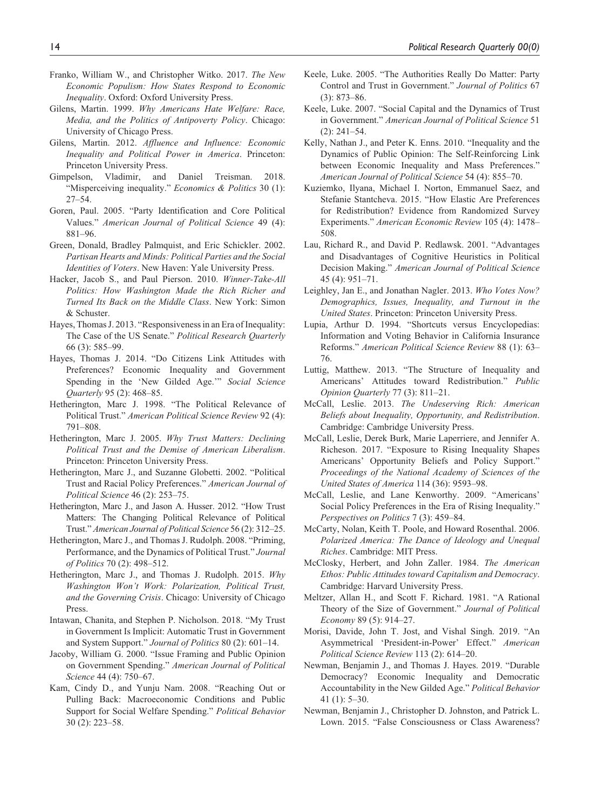- Franko, William W., and Christopher Witko. 2017. *The New Economic Populism: How States Respond to Economic Inequality*. Oxford: Oxford University Press.
- Gilens, Martin. 1999. *Why Americans Hate Welfare: Race, Media, and the Politics of Antipoverty Policy*. Chicago: University of Chicago Press.
- Gilens, Martin. 2012. *Affluence and Influence: Economic Inequality and Political Power in America*. Princeton: Princeton University Press.
- Gimpelson, Vladimir, and Daniel Treisman. 2018. "Misperceiving inequality." *Economics & Politics* 30 (1): 27–54.
- Goren, Paul. 2005. "Party Identification and Core Political Values." *American Journal of Political Science* 49 (4): 881–96.
- Green, Donald, Bradley Palmquist, and Eric Schickler. 2002. *Partisan Hearts and Minds: Political Parties and the Social Identities of Voters*. New Haven: Yale University Press.
- Hacker, Jacob S., and Paul Pierson. 2010. *Winner-Take-All Politics: How Washington Made the Rich Richer and Turned Its Back on the Middle Class*. New York: Simon & Schuster.
- Hayes, Thomas J. 2013. "Responsiveness in an Era of Inequality: The Case of the US Senate." *Political Research Quarterly* 66 (3): 585–99.
- Hayes, Thomas J. 2014. "Do Citizens Link Attitudes with Preferences? Economic Inequality and Government Spending in the 'New Gilded Age.'" *Social Science Quarterly* 95 (2): 468–85.
- Hetherington, Marc J. 1998. "The Political Relevance of Political Trust." *American Political Science Review* 92 (4): 791–808.
- Hetherington, Marc J. 2005. *Why Trust Matters: Declining Political Trust and the Demise of American Liberalism*. Princeton: Princeton University Press.
- Hetherington, Marc J., and Suzanne Globetti. 2002. "Political Trust and Racial Policy Preferences." *American Journal of Political Science* 46 (2): 253–75.
- Hetherington, Marc J., and Jason A. Husser. 2012. "How Trust Matters: The Changing Political Relevance of Political Trust." *American Journal of Political Science* 56 (2): 312–25.
- Hetherington, Marc J., and Thomas J. Rudolph. 2008. "Priming, Performance, and the Dynamics of Political Trust." *Journal of Politics* 70 (2): 498–512.
- Hetherington, Marc J., and Thomas J. Rudolph. 2015. *Why Washington Won't Work: Polarization, Political Trust, and the Governing Crisis*. Chicago: University of Chicago Press.
- Intawan, Chanita, and Stephen P. Nicholson. 2018. "My Trust in Government Is Implicit: Automatic Trust in Government and System Support." *Journal of Politics* 80 (2): 601–14.
- Jacoby, William G. 2000. "Issue Framing and Public Opinion on Government Spending." *American Journal of Political Science* 44 (4): 750–67.
- Kam, Cindy D., and Yunju Nam. 2008. "Reaching Out or Pulling Back: Macroeconomic Conditions and Public Support for Social Welfare Spending." *Political Behavior* 30 (2): 223–58.
- Keele, Luke. 2005. "The Authorities Really Do Matter: Party Control and Trust in Government." *Journal of Politics* 67 (3): 873–86.
- Keele, Luke. 2007. "Social Capital and the Dynamics of Trust in Government." *American Journal of Political Science* 51 (2): 241–54.
- Kelly, Nathan J., and Peter K. Enns. 2010. "Inequality and the Dynamics of Public Opinion: The Self-Reinforcing Link between Economic Inequality and Mass Preferences." *American Journal of Political Science* 54 (4): 855–70.
- Kuziemko, Ilyana, Michael I. Norton, Emmanuel Saez, and Stefanie Stantcheva. 2015. "How Elastic Are Preferences for Redistribution? Evidence from Randomized Survey Experiments." *American Economic Review* 105 (4): 1478– 508.
- Lau, Richard R., and David P. Redlawsk. 2001. "Advantages and Disadvantages of Cognitive Heuristics in Political Decision Making." *American Journal of Political Science* 45 (4): 951–71.
- Leighley, Jan E., and Jonathan Nagler. 2013. *Who Votes Now? Demographics, Issues, Inequality, and Turnout in the United States*. Princeton: Princeton University Press.
- Lupia, Arthur D. 1994. "Shortcuts versus Encyclopedias: Information and Voting Behavior in California Insurance Reforms." *American Political Science Review* 88 (1): 63– 76.
- Luttig, Matthew. 2013. "The Structure of Inequality and Americans' Attitudes toward Redistribution." *Public Opinion Quarterly* 77 (3): 811–21.
- McCall, Leslie. 2013. *The Undeserving Rich: American Beliefs about Inequality, Opportunity, and Redistribution*. Cambridge: Cambridge University Press.
- McCall, Leslie, Derek Burk, Marie Laperriere, and Jennifer A. Richeson. 2017. "Exposure to Rising Inequality Shapes Americans' Opportunity Beliefs and Policy Support." *Proceedings of the National Academy of Sciences of the United States of America* 114 (36): 9593–98.
- McCall, Leslie, and Lane Kenworthy. 2009. "Americans' Social Policy Preferences in the Era of Rising Inequality." *Perspectives on Politics* 7 (3): 459–84.
- McCarty, Nolan, Keith T. Poole, and Howard Rosenthal. 2006. *Polarized America: The Dance of Ideology and Unequal Riches*. Cambridge: MIT Press.
- McClosky, Herbert, and John Zaller. 1984. *The American Ethos: Public Attitudes toward Capitalism and Democracy*. Cambridge: Harvard University Press.
- Meltzer, Allan H., and Scott F. Richard. 1981. "A Rational Theory of the Size of Government." *Journal of Political Economy* 89 (5): 914–27.
- Morisi, Davide, John T. Jost, and Vishal Singh. 2019. "An Asymmetrical 'President-in-Power' Effect." *American Political Science Review* 113 (2): 614–20.
- Newman, Benjamin J., and Thomas J. Hayes. 2019. "Durable Democracy? Economic Inequality and Democratic Accountability in the New Gilded Age." *Political Behavior* 41 (1): 5–30.
- Newman, Benjamin J., Christopher D. Johnston, and Patrick L. Lown. 2015. "False Consciousness or Class Awareness?